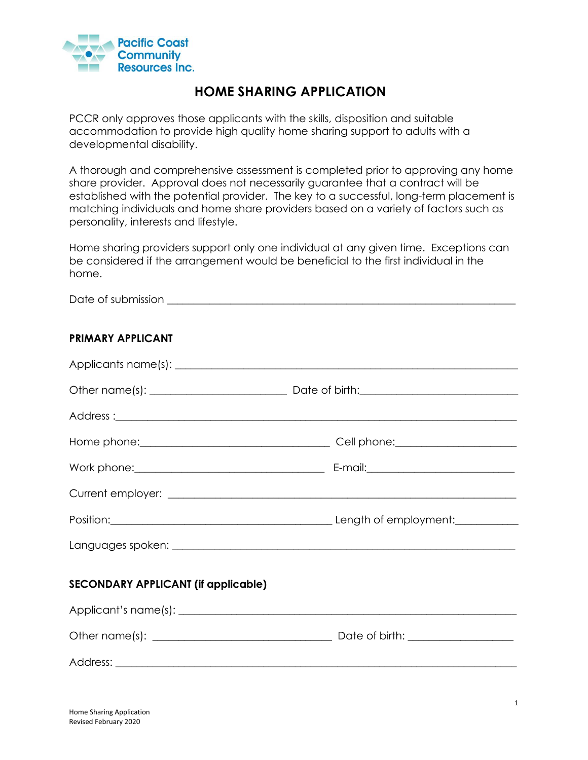

# **HOME SHARING APPLICATION**

PCCR only approves those applicants with the skills, disposition and suitable accommodation to provide high quality home sharing support to adults with a developmental disability.

A thorough and comprehensive assessment is completed prior to approving any home share provider. Approval does not necessarily guarantee that a contract will be established with the potential provider. The key to a successful, long-term placement is matching individuals and home share providers based on a variety of factors such as personality, interests and lifestyle.

Home sharing providers support only one individual at any given time. Exceptions can be considered if the arrangement would be beneficial to the first individual in the home.

Date of submission \_\_\_\_\_\_\_\_\_\_\_\_\_\_\_\_\_\_\_\_\_\_\_\_\_\_\_\_\_\_\_\_\_\_\_\_\_\_\_\_\_\_\_\_\_\_\_\_\_\_\_\_\_\_\_\_\_\_\_\_\_\_\_\_\_\_

#### **PRIMARY APPLICANT**

| <b>SECONDARY APPLICANT (if applicable)</b> |  |  |
|--------------------------------------------|--|--|
|                                            |  |  |
|                                            |  |  |
|                                            |  |  |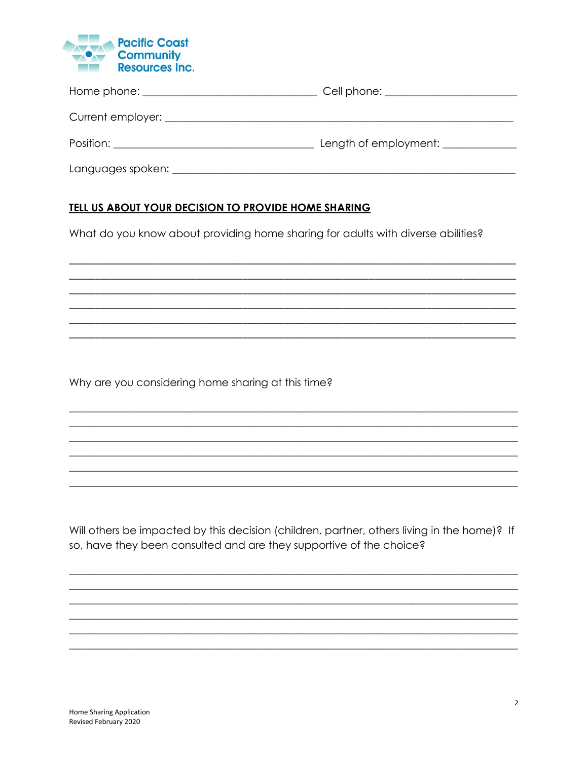

|                                    | Cell phone: _______________        |
|------------------------------------|------------------------------------|
|                                    |                                    |
|                                    | Length of employment: ____________ |
| Languages spoken: ________________ |                                    |

### TELL US ABOUT YOUR DECISION TO PROVIDE HOME SHARING

What do you know about providing home sharing for adults with diverse abilities?

Why are you considering home sharing at this time?

Will others be impacted by this decision (children, partner, others living in the home)? If so, have they been consulted and are they supportive of the choice?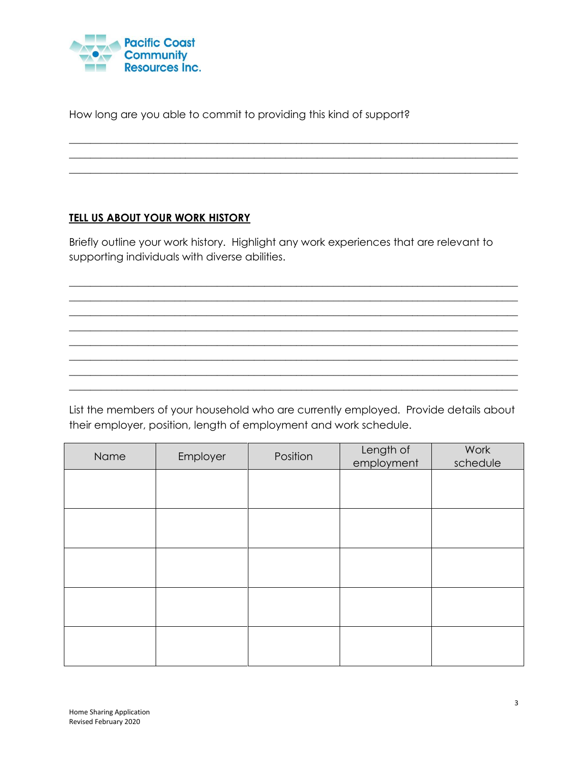

How long are you able to commit to providing this kind of support?

# **TELL US ABOUT YOUR WORK HISTORY**

Briefly outline your work history. Highlight any work experiences that are relevant to supporting individuals with diverse abilities.

 $\_$  , and the set of the set of the set of the set of the set of the set of the set of the set of the set of the set of the set of the set of the set of the set of the set of the set of the set of the set of the set of th  $\_$  , and the set of the set of the set of the set of the set of the set of the set of the set of the set of the set of the set of the set of the set of the set of the set of the set of the set of the set of the set of th  $\_$  , and the set of the set of the set of the set of the set of the set of the set of the set of the set of the set of the set of the set of the set of the set of the set of the set of the set of the set of the set of th  $\_$  , and the set of the set of the set of the set of the set of the set of the set of the set of the set of the set of the set of the set of the set of the set of the set of the set of the set of the set of the set of th  $\_$  , and the set of the set of the set of the set of the set of the set of the set of the set of the set of the set of the set of the set of the set of the set of the set of the set of the set of the set of the set of th \_\_\_\_\_\_\_\_\_\_\_\_\_\_\_\_\_\_\_\_\_\_\_\_\_\_\_\_\_\_\_\_\_\_\_\_\_\_\_\_\_\_\_\_\_\_\_\_\_\_\_\_\_\_\_\_\_\_\_\_\_\_\_\_\_\_\_\_\_\_\_\_\_\_\_\_\_\_\_\_\_\_\_\_\_  $\_$  , and the set of the set of the set of the set of the set of the set of the set of the set of the set of the set of the set of the set of the set of the set of the set of the set of the set of the set of the set of th  $\_$  , and the set of the set of the set of the set of the set of the set of the set of the set of the set of the set of the set of the set of the set of the set of the set of the set of the set of the set of the set of th

 $\_$  , and the set of the set of the set of the set of the set of the set of the set of the set of the set of the set of the set of the set of the set of the set of the set of the set of the set of the set of the set of th  $\_$  ,  $\_$  ,  $\_$  ,  $\_$  ,  $\_$  ,  $\_$  ,  $\_$  ,  $\_$  ,  $\_$  ,  $\_$  ,  $\_$  ,  $\_$  ,  $\_$  ,  $\_$  ,  $\_$  ,  $\_$  ,  $\_$  ,  $\_$  ,  $\_$  ,  $\_$  ,  $\_$  ,  $\_$  ,  $\_$  ,  $\_$  ,  $\_$  ,  $\_$  ,  $\_$  ,  $\_$  ,  $\_$  ,  $\_$  ,  $\_$  ,  $\_$  ,  $\_$  ,  $\_$  ,  $\_$  ,  $\_$  ,  $\_$  , \_\_\_\_\_\_\_\_\_\_\_\_\_\_\_\_\_\_\_\_\_\_\_\_\_\_\_\_\_\_\_\_\_\_\_\_\_\_\_\_\_\_\_\_\_\_\_\_\_\_\_\_\_\_\_\_\_\_\_\_\_\_\_\_\_\_\_\_\_\_\_\_\_\_\_\_\_\_\_\_\_\_\_\_\_

List the members of your household who are currently employed. Provide details about their employer, position, length of employment and work schedule.

| Name | Employer | Position | Length of<br>employment | Work<br>schedule |
|------|----------|----------|-------------------------|------------------|
|      |          |          |                         |                  |
|      |          |          |                         |                  |
|      |          |          |                         |                  |
|      |          |          |                         |                  |
|      |          |          |                         |                  |
|      |          |          |                         |                  |
|      |          |          |                         |                  |
|      |          |          |                         |                  |
|      |          |          |                         |                  |
|      |          |          |                         |                  |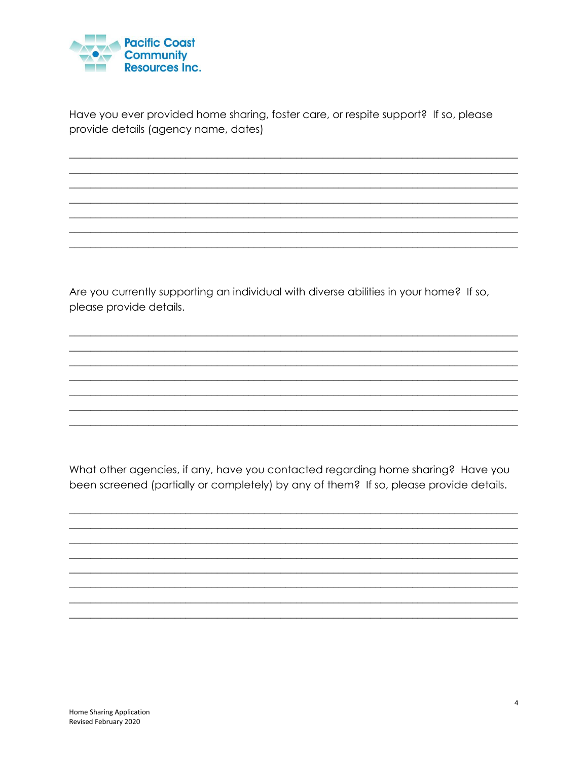

Have you ever provided home sharing, foster care, or respite support? If so, please provide details (agency name, dates)

Are you currently supporting an individual with diverse abilities in your home? If so, please provide details.

What other agencies, if any, have you contacted regarding home sharing? Have you been screened (partially or completely) by any of them? If so, please provide details.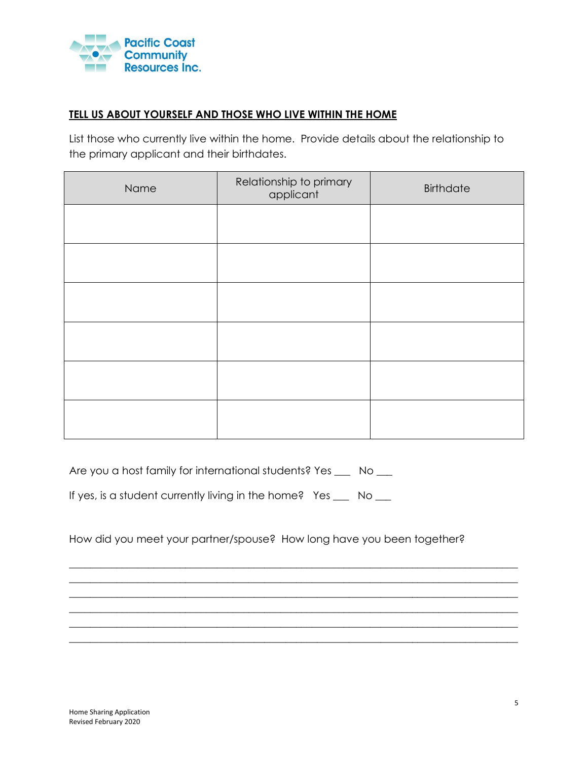

## **TELL US ABOUT YOURSELF AND THOSE WHO LIVE WITHIN THE HOME**

List those who currently live within the home. Provide details about the relationship to the primary applicant and their birthdates.

| Name | Relationship to primary<br>applicant | <b>Birthdate</b> |
|------|--------------------------------------|------------------|
|      |                                      |                  |
|      |                                      |                  |
|      |                                      |                  |
|      |                                      |                  |
|      |                                      |                  |
|      |                                      |                  |

| Are you a host family for international students? Yes |  | No. |
|-------------------------------------------------------|--|-----|
|-------------------------------------------------------|--|-----|

If yes, is a student currently living in the home? Yes \_\_\_ No \_\_

How did you meet your partner/spouse? How long have you been together?

 $\_$  , and the set of the set of the set of the set of the set of the set of the set of the set of the set of the set of the set of the set of the set of the set of the set of the set of the set of the set of the set of th  $\_$  , and the set of the set of the set of the set of the set of the set of the set of the set of the set of the set of the set of the set of the set of the set of the set of the set of the set of the set of the set of th  $\_$  , and the set of the set of the set of the set of the set of the set of the set of the set of the set of the set of the set of the set of the set of the set of the set of the set of the set of the set of the set of th  $\_$  , and the set of the set of the set of the set of the set of the set of the set of the set of the set of the set of the set of the set of the set of the set of the set of the set of the set of the set of the set of th  $\_$  , and the set of the set of the set of the set of the set of the set of the set of the set of the set of the set of the set of the set of the set of the set of the set of the set of the set of the set of the set of th  $\_$  , and the set of the set of the set of the set of the set of the set of the set of the set of the set of the set of the set of the set of the set of the set of the set of the set of the set of the set of the set of th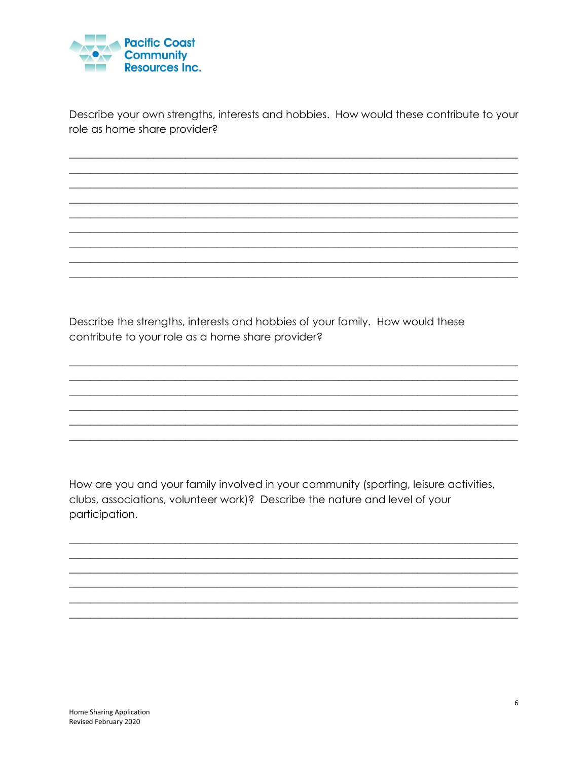

Describe your own strengths, interests and hobbies. How would these contribute to your role as home share provider?

Describe the strengths, interests and hobbies of your family. How would these contribute to your role as a home share provider?

How are you and your family involved in your community (sporting, leisure activities, clubs, associations, volunteer work)? Describe the nature and level of your participation.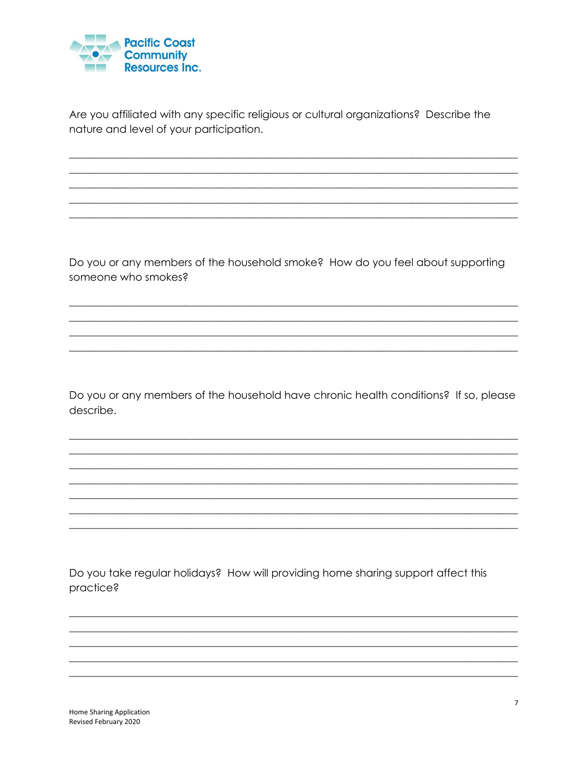

Are you affiliated with any specific religious or cultural organizations? Describe the nature and level of your participation.

Do you or any members of the household smoke? How do you feel about supporting someone who smokes?

Do you or any members of the household have chronic health conditions? If so, please describe.

Do you take regular holidays? How will providing home sharing support affect this practice?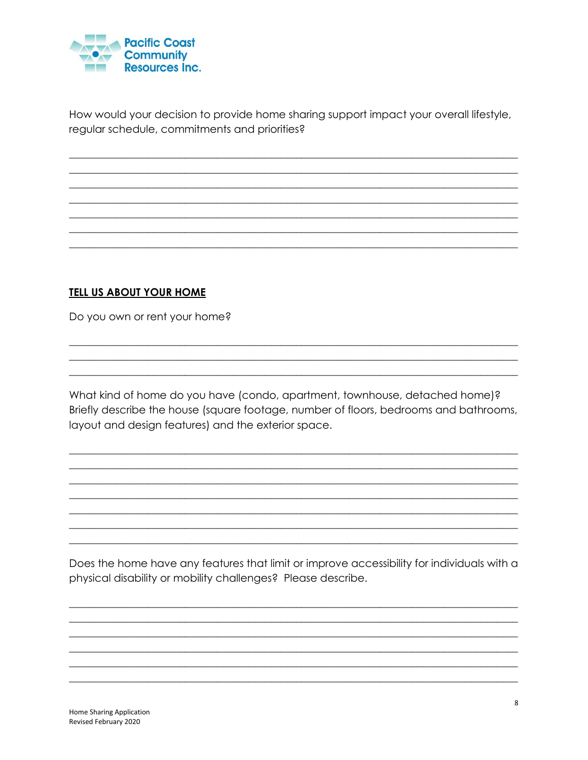

How would your decision to provide home sharing support impact your overall lifestyle, regular schedule, commitments and priorities?

# **TELL US ABOUT YOUR HOME**

Do you own or rent your home?

What kind of home do you have (condo, apartment, townhouse, detached home)? Briefly describe the house (square footage, number of floors, bedrooms and bathrooms, layout and design features) and the exterior space.

Does the home have any features that limit or improve accessibility for individuals with a physical disability or mobility challenges? Please describe.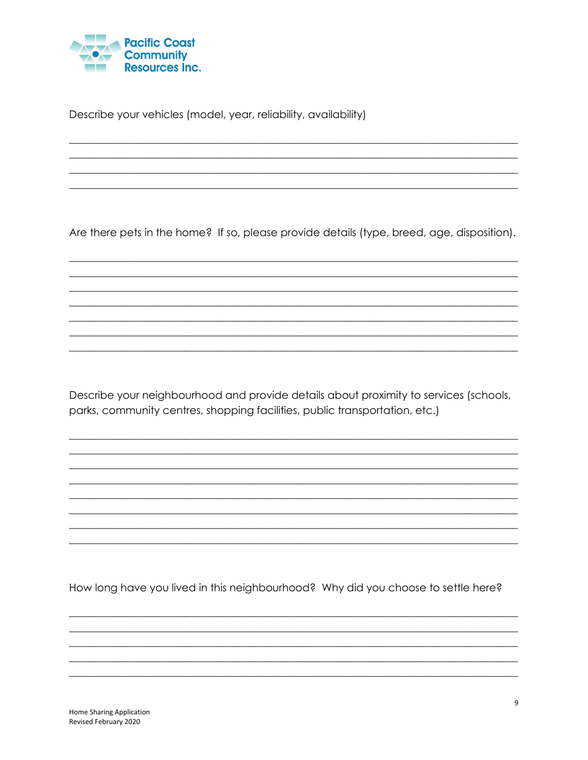

Describe your vehicles (model, year, reliability, availability)

Are there pets in the home? If so, please provide details (type, breed, age, disposition).

Describe your neighbourhood and provide details about proximity to services (schools, parks, community centres, shopping facilities, public transportation, etc.)

How long have you lived in this neighbourhood? Why did you choose to settle here?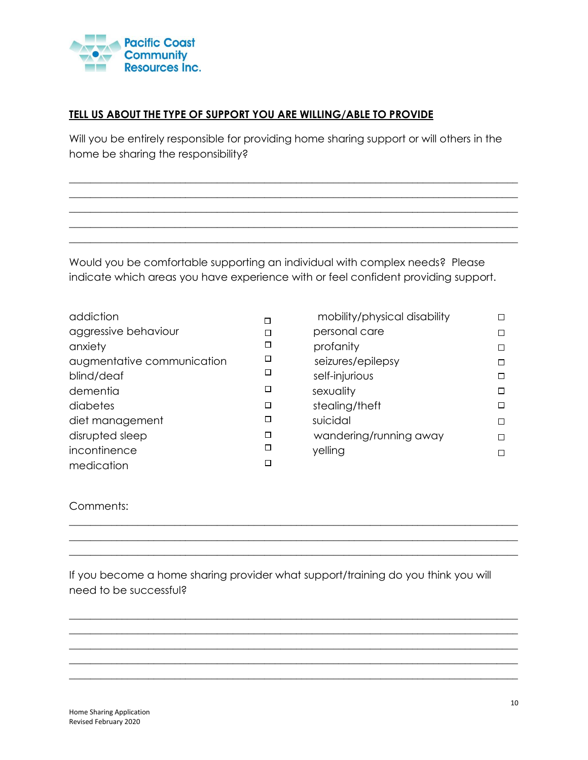

### **TELL US ABOUT THE TYPE OF SUPPORT YOU ARE WILLING/ABLE TO PROVIDE**

Will you be entirely responsible for providing home sharing support or will others in the home be sharing the responsibility?

 $\_$  , and the set of the set of the set of the set of the set of the set of the set of the set of the set of the set of the set of the set of the set of the set of the set of the set of the set of the set of the set of th  $\_$  , and the set of the set of the set of the set of the set of the set of the set of the set of the set of the set of the set of the set of the set of the set of the set of the set of the set of the set of the set of th \_\_\_\_\_\_\_\_\_\_\_\_\_\_\_\_\_\_\_\_\_\_\_\_\_\_\_\_\_\_\_\_\_\_\_\_\_\_\_\_\_\_\_\_\_\_\_\_\_\_\_\_\_\_\_\_\_\_\_\_\_\_\_\_\_\_\_\_\_\_\_\_\_\_\_\_\_\_\_\_\_\_\_\_\_  $\_$  , and the set of the set of the set of the set of the set of the set of the set of the set of the set of the set of the set of the set of the set of the set of the set of the set of the set of the set of the set of th  $\_$  , and the set of the set of the set of the set of the set of the set of the set of the set of the set of the set of the set of the set of the set of the set of the set of the set of the set of the set of the set of th

Would you be comfortable supporting an individual with complex needs? Please indicate which areas you have experience with or feel confident providing support.

| addiction                  | П      | mobility/physical disability |
|----------------------------|--------|------------------------------|
| aggressive behaviour       |        | personal care                |
| anxiety                    |        | profanity                    |
| augmentative communication |        | seizures/epilepsy            |
| blind/deaf                 | $\Box$ | self-injurious               |
| dementia                   | Е      | sexuality                    |
| diabetes                   | $\Box$ | stealing/theft               |
| diet management            | $\Box$ | suicidal                     |
| disrupted sleep            |        | wandering/running away       |
| incontinence               |        | yelling                      |
| medication                 |        |                              |

| mobility/physical disability |  |
|------------------------------|--|
| personal care                |  |
| profanity                    |  |
| seizures/epilepsy            |  |
| self-injurious               |  |
| sexuality                    |  |
| stealing/theft               |  |
| suicidal                     |  |
| wandering/running away       |  |
| yelling                      |  |
|                              |  |

#### Comments:

If you become a home sharing provider what support/training do you think you will need to be successful?

\_\_\_\_\_\_\_\_\_\_\_\_\_\_\_\_\_\_\_\_\_\_\_\_\_\_\_\_\_\_\_\_\_\_\_\_\_\_\_\_\_\_\_\_\_\_\_\_\_\_\_\_\_\_\_\_\_\_\_\_\_\_\_\_\_\_\_\_\_\_\_\_\_\_\_\_\_\_\_\_\_\_\_\_\_ \_\_\_\_\_\_\_\_\_\_\_\_\_\_\_\_\_\_\_\_\_\_\_\_\_\_\_\_\_\_\_\_\_\_\_\_\_\_\_\_\_\_\_\_\_\_\_\_\_\_\_\_\_\_\_\_\_\_\_\_\_\_\_\_\_\_\_\_\_\_\_\_\_\_\_\_\_\_\_\_\_\_\_\_\_  $\_$  , and the set of the set of the set of the set of the set of the set of the set of the set of the set of the set of the set of the set of the set of the set of the set of the set of the set of the set of the set of th

 $\_$  , and the set of the set of the set of the set of the set of the set of the set of the set of the set of the set of the set of the set of the set of the set of the set of the set of the set of the set of the set of th  $\_$  , and the set of the set of the set of the set of the set of the set of the set of the set of the set of the set of the set of the set of the set of the set of the set of the set of the set of the set of the set of th  $\_$  , and the set of the set of the set of the set of the set of the set of the set of the set of the set of the set of the set of the set of the set of the set of the set of the set of the set of the set of the set of th  $\_$  ,  $\_$  ,  $\_$  ,  $\_$  ,  $\_$  ,  $\_$  ,  $\_$  ,  $\_$  ,  $\_$  ,  $\_$  ,  $\_$  ,  $\_$  ,  $\_$  ,  $\_$  ,  $\_$  ,  $\_$  ,  $\_$  ,  $\_$  ,  $\_$  ,  $\_$  ,  $\_$  ,  $\_$  ,  $\_$  ,  $\_$  ,  $\_$  ,  $\_$  ,  $\_$  ,  $\_$  ,  $\_$  ,  $\_$  ,  $\_$  ,  $\_$  ,  $\_$  ,  $\_$  ,  $\_$  ,  $\_$  ,  $\_$  , \_\_\_\_\_\_\_\_\_\_\_\_\_\_\_\_\_\_\_\_\_\_\_\_\_\_\_\_\_\_\_\_\_\_\_\_\_\_\_\_\_\_\_\_\_\_\_\_\_\_\_\_\_\_\_\_\_\_\_\_\_\_\_\_\_\_\_\_\_\_\_\_\_\_\_\_\_\_\_\_\_\_\_\_\_